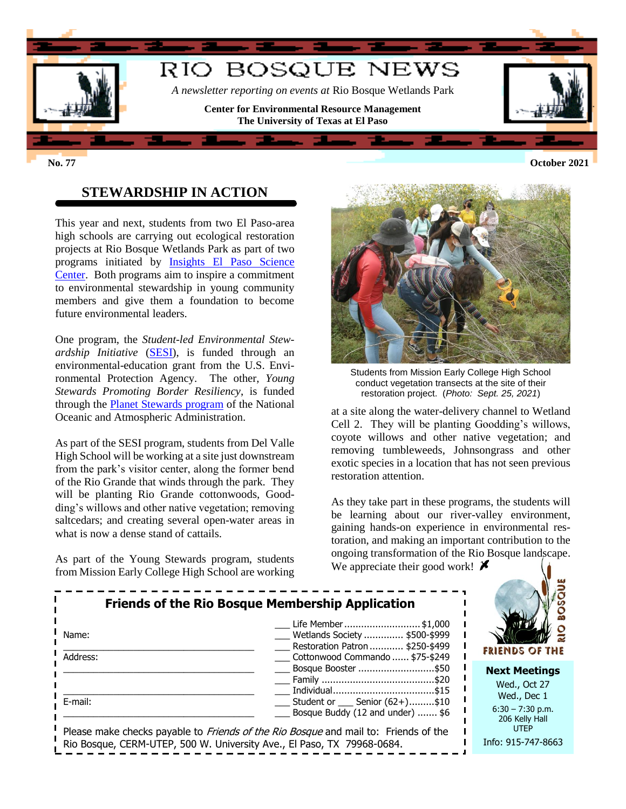

### **STEWARDSHIP IN ACTION**

This year and next, students from two El Paso-area high schools are carrying out ecological restoration projects at Rio Bosque Wetlands Park as part of two programs initiated by [Insights El Paso Science](http://www.insightselpaso.org/)  [Center.](http://www.insightselpaso.org/) Both programs aim to inspire a commitment to environmental stewardship in young community members and give them a foundation to become future environmental leaders.

One program, the *Student-led Environmental Stewardship Initiative* [\(SESI\)](http://www.insightselpaso.org/programs/student-led-environmental-stewardship-initiative/), is funded through an environmental-education grant from the U.S. Environmental Protection Agency. The other, *Young Stewards Promoting Border Resiliency*, is funded through the [Planet Stewards program](https://oceanservice.noaa.gov/education/planet-stewards/) of the National Oceanic and Atmospheric Administration.

As part of the SESI program, students from Del Valle High School will be working at a site just downstream from the park's visitor center, along the former bend of the Rio Grande that winds through the park. They will be planting Rio Grande cottonwoods, Goodding's willows and other native vegetation; removing saltcedars; and creating several open-water areas in what is now a dense stand of cattails.

As part of the Young Stewards program, students from Mission Early College High School are working



Students from Mission Early College High School conduct vegetation transects at the site of their restoration project. (*Photo: Sept. 25, 2021*)

at a site along the water-delivery channel to Wetland Cell 2. They will be planting Goodding's willows, coyote willows and other native vegetation; and removing tumbleweeds, Johnsongrass and other exotic species in a location that has not seen previous restoration attention.

As they take part in these programs, the students will be learning about our river-valley environment, gaining hands-on experience in environmental restoration, and making an important contribution to the ongoing transformation of the Rio Bosque landscape. We appreciate their good work!  $\blacktriangleright$ 

| <b>Friends of the Rio Bosque Membership Application</b>                |                                                                                            |                                                     |
|------------------------------------------------------------------------|--------------------------------------------------------------------------------------------|-----------------------------------------------------|
| Name:                                                                  | Life Member \$1,000<br>Wetlands Society  \$500-\$999                                       |                                                     |
| Address:                                                               | Restoration Patron  \$250-\$499<br>Cottonwood Commando  \$75-\$249                         | FRIENDS OF THE                                      |
|                                                                        | Bosque Booster \$50                                                                        | <b>Next Meetings</b><br>Wed., Oct 27                |
| E-mail:                                                                | Student or _____ Senior (62+)\$10<br>Bosque Buddy (12 and under)  \$6                      | Wed., Dec 1<br>$6:30 - 7:30$ p.m.<br>206 Kelly Hall |
| Rio Bosque, CERM-UTEP, 500 W. University Ave., El Paso, TX 79968-0684. | Please make checks payable to <i>Friends of the Rio Bosque</i> and mail to: Friends of the | <b>UTEP</b><br>Info: 915-747-8663                   |